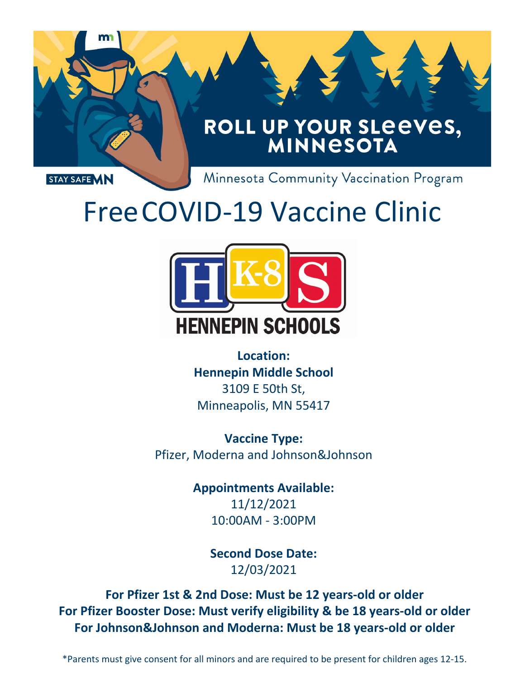

# FreeCOVID-19 Vaccine Clinic



**Location: Hennepin Middle School**  3109 E 50th St, Minneapolis, MN 55417

**Vaccine Type:**  Pfizer, Moderna and Johnson&Johnson

> **Appointments Available:** 11/11/2021 10:00AM - 3:00PM

> > **Second Dose Date:** 12/02/2021

**For Pfizer 1st & 2nd Dose: Must be 12 years-old or older For Pfizer Booster Dose: Must verify eligibility & be 18 years-old or older For Johnson&Johnson and Moderna: Must be 18 years-old or older**

\*Parents must give consent for all minors and are required to be present for children ages 12-15.